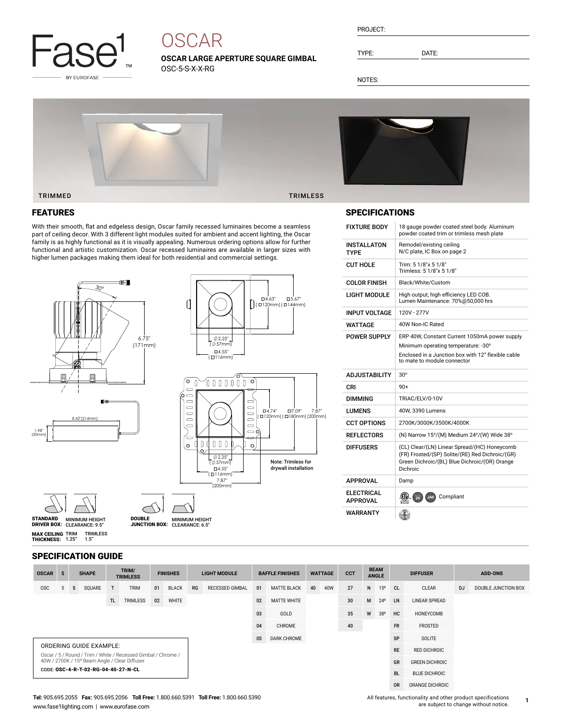

# **OSCAR**

**OSCAR LARGE APERTURE SQUARE GIMBAL** OSC-5-S-X-X-RG

| PROJECT: |  |
|----------|--|
|          |  |

TYPE: DATE:

NOTES:



# FEATURES

With their smooth, flat and edgeless design, Oscar family recessed luminaires become a seamless part of ceiling decor. With 3 different light modules suited for ambient and accent lighting, the Oscar family is as highly functional as it is visually appealing. Numerous ordering options allow for further functional and artistic customization. Oscar recessed luminaires are available in larger sizes with



## SPECIFICATIONS

| <b>FIXTURE BODY</b>           | 18 gauge powder coated steel body. Aluminum<br>powder coated trim or trimless mesh plate                                                                     |
|-------------------------------|--------------------------------------------------------------------------------------------------------------------------------------------------------------|
| INSTALLATON<br>TYPF           | Remodel/existing ceiling<br>N/C plate, IC Box on page 2                                                                                                      |
| <b>CUT HOLE</b>               | Trim: 5 1/8"x 5 1/8"<br>Trimless: 5 1/8"x 5 1/8"                                                                                                             |
| <b>COLOR FINISH</b>           | Black/White/Custom                                                                                                                                           |
| LIGHT MODULE                  | High output, high efficiency LED COB.<br>Lumen Maintenance: 70%@50,000 hrs                                                                                   |
| <b>INPUT VOLTAGE</b>          | 120V - 277V                                                                                                                                                  |
| WATTAGE                       | 40W Non-IC Rated                                                                                                                                             |
| <b>POWER SUPPLY</b>           | ERP 40W, Constant Current 1050mA power supply                                                                                                                |
|                               | Minimum operating temperature: -30°                                                                                                                          |
|                               | Enclosed in a Junction box with 12" flexible cable<br>to mate to module connector                                                                            |
|                               |                                                                                                                                                              |
| <b>ADJUSTABILITY</b>          | $30^\circ$                                                                                                                                                   |
| CRI                           | $90+$                                                                                                                                                        |
| <b>DIMMING</b>                | TRIAC/ELV/0-10V                                                                                                                                              |
| LUMENS                        | 40W, 3390 Lumens                                                                                                                                             |
| <b>CCT OPTIONS</b>            | 2700K/3000K/3500K/4000K                                                                                                                                      |
| <b>REFLECTORS</b>             | (N) Narrow 15°/(M) Medium 24°/(W) Wide 38°                                                                                                                   |
| <b>DIFFUSERS</b>              | (CL) Clear/(LN) Linear Spread/(HC) Honeycomb<br>(FR) Frosted/(SP) Solite/(RE) Red Dichroic/(GR)<br>Green Dichroic/(BL) Blue Dichroic/(OR) Orange<br>Dichroic |
| <b>APPROVAL</b>               | Damp                                                                                                                                                         |
| ELECTRICAL<br><b>APPROVAL</b> | (CTV).<br>Compliant<br>$\frac{11}{24}$<br>JA8                                                                                                                |

| <b>SPECIFICATION GUIDE</b> |  |
|----------------------------|--|
|----------------------------|--|

| <b>OSCAR</b>                        | 5 |   | <b>SHAPE</b>            |              | TRIM/<br><b>TRIMLESS</b>                                                                                       |                    | <b>FINISHES</b> |           | <b>LIGHT MODULE</b>    |    | <b>BAFFLE FINISHES</b> | <b>WATTAGE</b> |           | <b>CCT</b> | <b>BEAM</b><br><b>ANGLE</b> |                 | <b>DIFFUSER</b> |                       | <b>ADD-ONS</b> |                     |
|-------------------------------------|---|---|-------------------------|--------------|----------------------------------------------------------------------------------------------------------------|--------------------|-----------------|-----------|------------------------|----|------------------------|----------------|-----------|------------|-----------------------------|-----------------|-----------------|-----------------------|----------------|---------------------|
| <b>OSC</b>                          |   | s | SQUARE                  | $\mathsf{T}$ | <b>TRIM</b>                                                                                                    | 01                 | <b>BLACK</b>    | RG        | <b>RECESSED GIMBAL</b> | 01 | <b>MATTE BLACK</b>     | 40             | 40W       | 27         | N                           | 15 <sup>o</sup> | <sub>CL</sub>   | CLEAR                 | <b>DJ</b>      | DOUBLE JUNCTION BOX |
|                                     |   |   |                         | TL.          | TRIMLESS                                                                                                       | 02                 | WHITE           |           |                        | 02 | <b>MATTE WHITE</b>     |                |           | 30         | M                           | $24^{\circ}$    | LN              | <b>LINEAR SPREAD</b>  |                |                     |
|                                     |   |   |                         |              | 03                                                                                                             | GOLD               |                 |           | 35                     | W  | 38°                    | HC             | HONEYCOMB |            |                             |                 |                 |                       |                |                     |
|                                     |   |   |                         |              | 04                                                                                                             | CHROME             |                 |           | 40                     |    |                        | <b>FR</b>      | FROSTED   |            |                             |                 |                 |                       |                |                     |
|                                     |   |   |                         |              | 05                                                                                                             | <b>DARK CHROME</b> |                 |           |                        |    |                        | SP             | SOLITE    |            |                             |                 |                 |                       |                |                     |
|                                     |   |   | ORDERING GUIDE EXAMPLE: |              |                                                                                                                |                    |                 |           |                        |    |                        |                |           |            |                             |                 | <b>RE</b>       | <b>RED DICHROIC</b>   |                |                     |
|                                     |   |   |                         |              | Oscar / 5 / Round / Trim / White / Recessed Gimbal / Chrome /<br>40W / 2700K / 15° Beam Angle / Clear Diffuser |                    |                 |           |                        |    |                        |                |           |            |                             |                 | GR              | <b>GREEN DICHROIC</b> |                |                     |
| CODE: OSC-4-R-T-02-RG-04-40-27-N-CL |   |   |                         |              |                                                                                                                |                    |                 |           |                        |    |                        |                |           | <b>BL</b>  | <b>BLUE DICHROIC</b>        |                 |                 |                       |                |                     |
|                                     |   |   |                         |              |                                                                                                                |                    |                 | <b>OR</b> | ORANGE DICHROIC        |    |                        |                |           |            |                             |                 |                 |                       |                |                     |

#### **Tel:** 905.695.2055 **Fax:** 905.695.2056 **Toll Free:** 1.800.660.5391 **Toll Free:** 1.800.660.5390 www.fase1lighting.com | www.eurofase.com

All features, functionality and other product specifications are subject to change without notice.

**1**